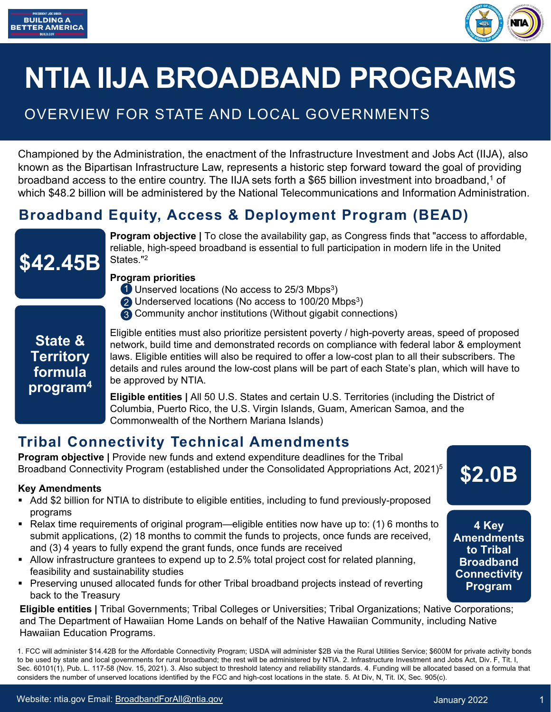



# **NTIA IIJA BROADBAND PROGRAMS**

# OVERVIEW FOR STATE AND LOCAL GOVERNMENTS

Championed by the Administration, the enactment of the Infrastructure Investment and Jobs Act (IIJA), also known as the Bipartisan Infrastructure Law, represents a historic step forward toward the goal of providing broadband access to the entire country. The IIJA sets forth a \$65 billion investment into broadband,<sup>1</sup> of which \$48.2 billion will be administered by the National Telecommunications and Information Administration.

## **Broadband Equity, Access & Deployment Program (BEAD)**



**Program objective | To close the availability gap, as Congress finds that "access to affordable,** reliable, high-speed broadband is essential to full participation in modern life in the United States."2

#### **Program priorities**

- 1 Unserved locations (No access to 25/3 Mbps<sup>3</sup>)
- $2$  Underserved locations (No access to 100/20 Mbps<sup>3</sup>)
- Community anchor institutions (Without gigabit connections) 3

### **State & Territory formula program4**

Eligible entities must also prioritize persistent poverty / high-poverty areas, speed of proposed network, build time and demonstrated records on compliance with federal labor & employment laws. Eligible entities will also be required to offer a low-cost plan to all their subscribers. The details and rules around the low-cost plans will be part of each State's plan, which will have to be approved by NTIA.

**Eligible entities |** All 50 U.S. States and certain U.S. Territories (including the District of Columbia, Puerto Rico, the U.S. Virgin Islands, Guam, American Samoa, and the Commonwealth of the Northern Mariana Islands)

## **Tribal Connectivity Technical Amendments**

**Program objective | Provide new funds and extend expenditure deadlines for the Tribal** Broadband Connectivity Program (established under the Consolidated Appropriations Act, 2021)<sup>5</sup>

#### **Key Amendments**

- Add \$2 billion for NTIA to distribute to eligible entities, including to fund previously-proposed programs
- Relax time requirements of original program—eligible entities now have up to: (1) 6 months to submit applications, (2) 18 months to commit the funds to projects, once funds are received, and (3) 4 years to fully expend the grant funds, once funds are received
- Allow infrastructure grantees to expend up to 2.5% total project cost for related planning, feasibility and sustainability studies
- **Preserving unused allocated funds for other Tribal broadband projects instead of reverting** back to the Treasury

**Eligible entities |** Tribal Governments; Tribal Colleges or Universities; Tribal Organizations; Native Corporations; and The Department of Hawaiian Home Lands on behalf of the Native Hawaiian Community, including Native Hawaiian Education Programs.

1. FCC will administer \$14.42B for the Affordable Connectivity Program; USDA will administer \$2B via the Rural Utilities Service; \$600M for private activity bonds to be used by state and local governments for rural broadband; the rest will be administered by NTIA. 2. Infrastructure Investment and Jobs Act, Div. F, Tit. I, Sec. 60101(1), Pub. L. 117-58 (Nov. 15, 2021). 3. Also subject to threshold latency and reliability standards. 4. Funding will be allocated based on a formula that considers the number of unserved locations identified by the FCC and high-cost locations in the state. 5. At Div, N, Tit. IX, Sec. 905(c).

**\$2.0B**

**4 Key Amendments to Tribal Broadband Connectivity Program**